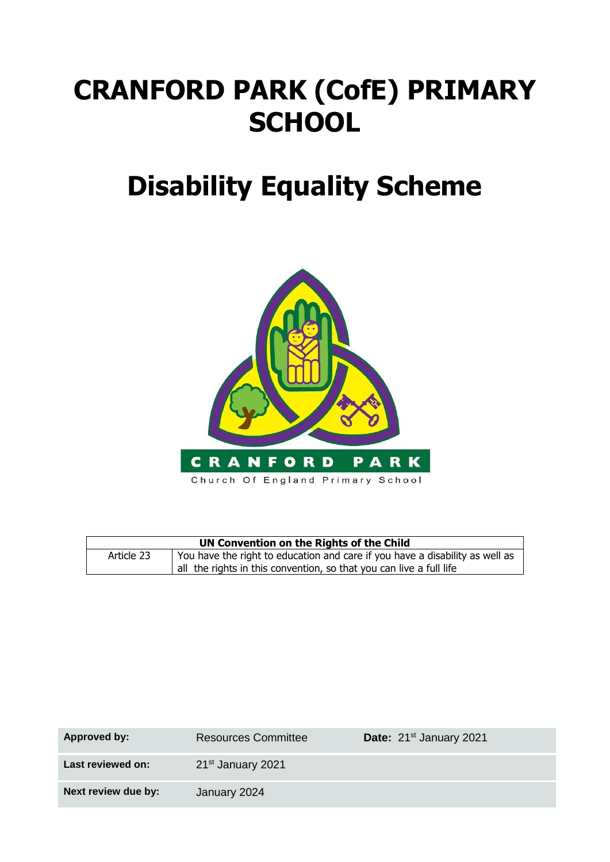# **CRANFORD PARK (CofE) PRIMARY SCHOOL**

## **Disability Equality Scheme**



| UN Convention on the Rights of the Child |                                                                              |  |
|------------------------------------------|------------------------------------------------------------------------------|--|
| Article 23                               | You have the right to education and care if you have a disability as well as |  |
|                                          | all the rights in this convention, so that you can live a full life          |  |

| Approved by:        | <b>Resources Committee</b>    | Date: 21 <sup>st</sup> January 2021 |
|---------------------|-------------------------------|-------------------------------------|
| Last reviewed on:   | 21 <sup>st</sup> January 2021 |                                     |
| Next review due by: | January 2024                  |                                     |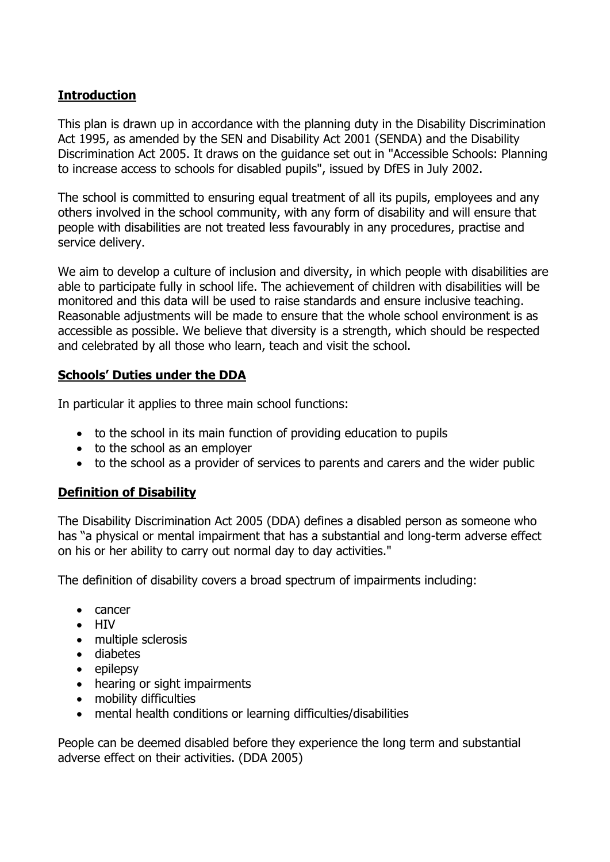#### **Introduction**

This plan is drawn up in accordance with the planning duty in the Disability Discrimination Act 1995, as amended by the SEN and Disability Act 2001 (SENDA) and the Disability Discrimination Act 2005. It draws on the guidance set out in "Accessible Schools: Planning to increase access to schools for disabled pupils", issued by DfES in July 2002.

The school is committed to ensuring equal treatment of all its pupils, employees and any others involved in the school community, with any form of disability and will ensure that people with disabilities are not treated less favourably in any procedures, practise and service delivery.

We aim to develop a culture of inclusion and diversity, in which people with disabilities are able to participate fully in school life. The achievement of children with disabilities will be monitored and this data will be used to raise standards and ensure inclusive teaching. Reasonable adjustments will be made to ensure that the whole school environment is as accessible as possible. We believe that diversity is a strength, which should be respected and celebrated by all those who learn, teach and visit the school.

#### **Schools' Duties under the DDA**

In particular it applies to three main school functions:

- to the school in its main function of providing education to pupils
- to the school as an employer
- to the school as a provider of services to parents and carers and the wider public

#### **Definition of Disability**

The Disability Discrimination Act 2005 (DDA) defines a disabled person as someone who has "a physical or mental impairment that has a substantial and long-term adverse effect on his or her ability to carry out normal day to day activities."

The definition of disability covers a broad spectrum of impairments including:

- cancer
- HIV
- multiple sclerosis
- diabetes
- epilepsy
- hearing or sight impairments
- mobility difficulties
- mental health conditions or learning difficulties/disabilities

People can be deemed disabled before they experience the long term and substantial adverse effect on their activities. (DDA 2005)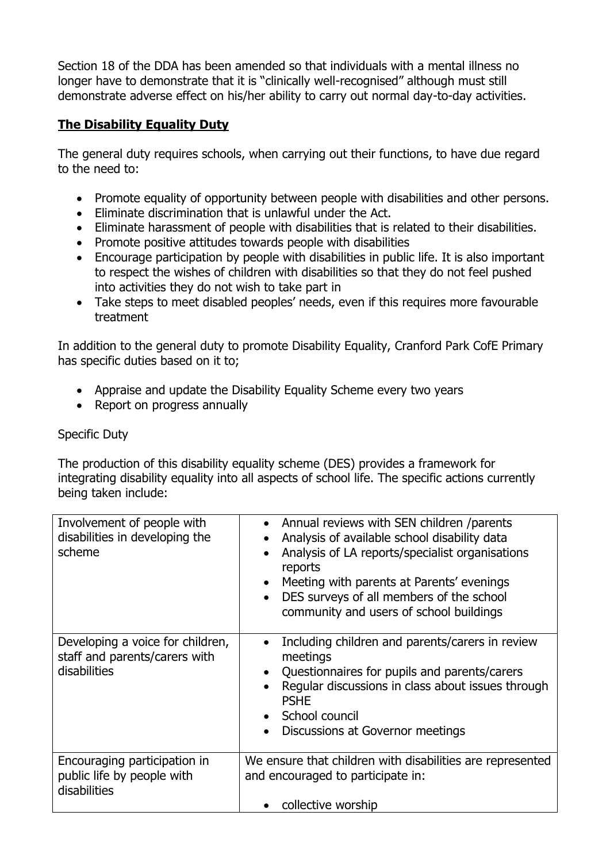Section 18 of the DDA has been amended so that individuals with a mental illness no longer have to demonstrate that it is "clinically well-recognised" although must still demonstrate adverse effect on his/her ability to carry out normal day-to-day activities.

#### **The Disability Equality Duty**

The general duty requires schools, when carrying out their functions, to have due regard to the need to:

- Promote equality of opportunity between people with disabilities and other persons.
- Eliminate discrimination that is unlawful under the Act.
- Eliminate harassment of people with disabilities that is related to their disabilities.
- Promote positive attitudes towards people with disabilities
- Encourage participation by people with disabilities in public life. It is also important to respect the wishes of children with disabilities so that they do not feel pushed into activities they do not wish to take part in
- Take steps to meet disabled peoples' needs, even if this requires more favourable treatment

In addition to the general duty to promote Disability Equality, Cranford Park CofE Primary has specific duties based on it to;

- Appraise and update the Disability Equality Scheme every two years
- Report on progress annually

#### Specific Duty

The production of this disability equality scheme (DES) provides a framework for integrating disability equality into all aspects of school life. The specific actions currently being taken include:

| Involvement of people with<br>disabilities in developing the<br>scheme            | • Annual reviews with SEN children /parents<br>Analysis of available school disability data<br>$\bullet$<br>Analysis of LA reports/specialist organisations<br>$\bullet$<br>reports<br>Meeting with parents at Parents' evenings<br>$\bullet$<br>DES surveys of all members of the school<br>$\bullet$<br>community and users of school buildings |  |
|-----------------------------------------------------------------------------------|---------------------------------------------------------------------------------------------------------------------------------------------------------------------------------------------------------------------------------------------------------------------------------------------------------------------------------------------------|--|
| Developing a voice for children,<br>staff and parents/carers with<br>disabilities | Including children and parents/carers in review<br>$\bullet$<br>meetings<br>Questionnaires for pupils and parents/carers<br>$\bullet$<br>Regular discussions in class about issues through<br><b>PSHE</b><br>• School council<br>Discussions at Governor meetings<br>$\bullet$                                                                    |  |
| Encouraging participation in<br>public life by people with<br>disabilities        | We ensure that children with disabilities are represented<br>and encouraged to participate in:<br>collective worship                                                                                                                                                                                                                              |  |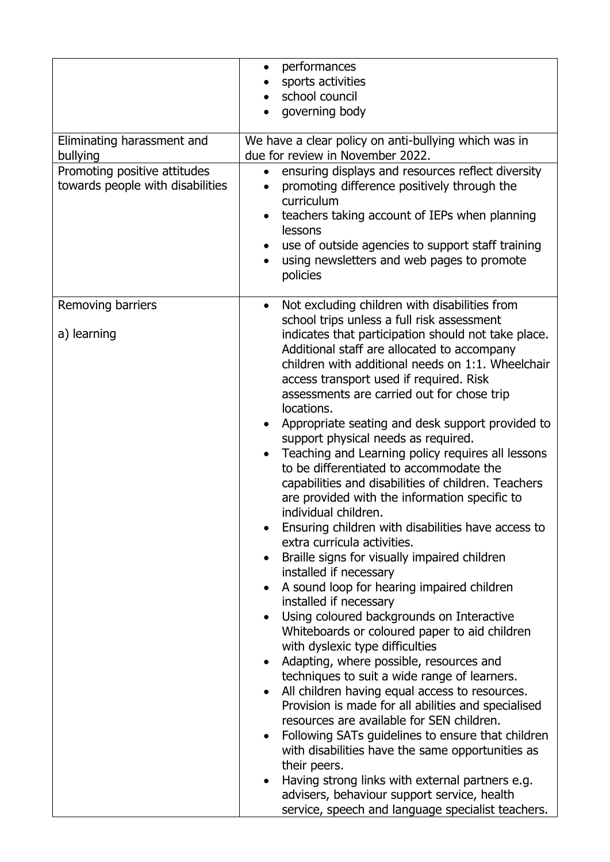| Eliminating harassment and<br>bullying<br>Promoting positive attitudes | performances<br>$\bullet$<br>sports activities<br>school council<br>governing body<br>We have a clear policy on anti-bullying which was in<br>due for review in November 2022.<br>ensuring displays and resources reflect diversity<br>$\bullet$                                                                                                                                                                                                                                                                                                                                                                                                                                                                                                                                                                                                                                                                                                                                                                                                                                                                                                                                                                                                                                                                                                                                                                                                                                                                                                                                                                                                                                |
|------------------------------------------------------------------------|---------------------------------------------------------------------------------------------------------------------------------------------------------------------------------------------------------------------------------------------------------------------------------------------------------------------------------------------------------------------------------------------------------------------------------------------------------------------------------------------------------------------------------------------------------------------------------------------------------------------------------------------------------------------------------------------------------------------------------------------------------------------------------------------------------------------------------------------------------------------------------------------------------------------------------------------------------------------------------------------------------------------------------------------------------------------------------------------------------------------------------------------------------------------------------------------------------------------------------------------------------------------------------------------------------------------------------------------------------------------------------------------------------------------------------------------------------------------------------------------------------------------------------------------------------------------------------------------------------------------------------------------------------------------------------|
| towards people with disabilities                                       | promoting difference positively through the<br>curriculum<br>teachers taking account of IEPs when planning<br>$\bullet$<br>lessons<br>use of outside agencies to support staff training<br>using newsletters and web pages to promote<br>policies                                                                                                                                                                                                                                                                                                                                                                                                                                                                                                                                                                                                                                                                                                                                                                                                                                                                                                                                                                                                                                                                                                                                                                                                                                                                                                                                                                                                                               |
| Removing barriers<br>a) learning                                       | Not excluding children with disabilities from<br>$\bullet$<br>school trips unless a full risk assessment<br>indicates that participation should not take place.<br>Additional staff are allocated to accompany<br>children with additional needs on 1:1. Wheelchair<br>access transport used if required. Risk<br>assessments are carried out for chose trip<br>locations.<br>Appropriate seating and desk support provided to<br>$\bullet$<br>support physical needs as required.<br>Teaching and Learning policy requires all lessons<br>$\bullet$<br>to be differentiated to accommodate the<br>capabilities and disabilities of children. Teachers<br>are provided with the information specific to<br>individual children.<br>Ensuring children with disabilities have access to<br>extra curricula activities.<br>Braille signs for visually impaired children<br>installed if necessary<br>A sound loop for hearing impaired children<br>$\bullet$<br>installed if necessary<br>Using coloured backgrounds on Interactive<br>Whiteboards or coloured paper to aid children<br>with dyslexic type difficulties<br>Adapting, where possible, resources and<br>$\bullet$<br>techniques to suit a wide range of learners.<br>All children having equal access to resources.<br>Provision is made for all abilities and specialised<br>resources are available for SEN children.<br>Following SATs guidelines to ensure that children<br>$\bullet$<br>with disabilities have the same opportunities as<br>their peers.<br>Having strong links with external partners e.g.<br>advisers, behaviour support service, health<br>service, speech and language specialist teachers. |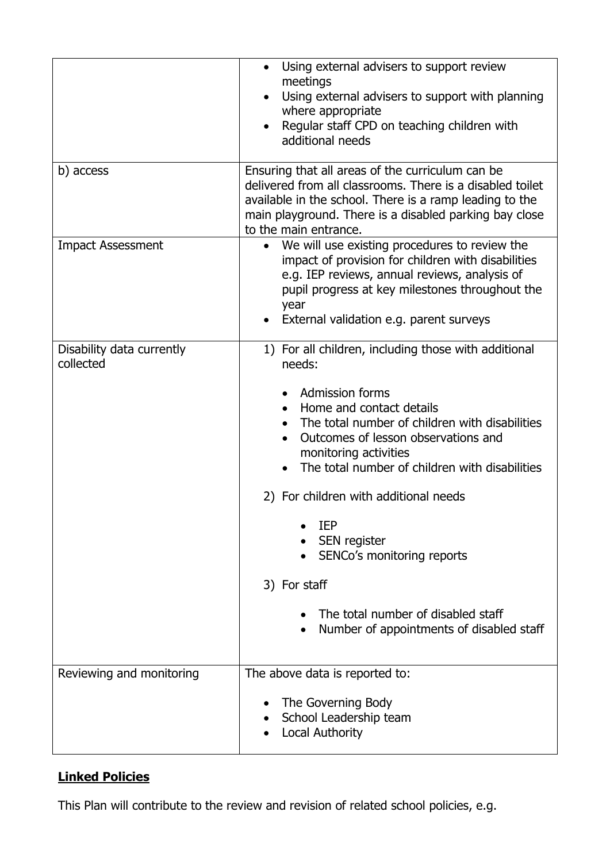|                                        | Using external advisers to support review<br>$\bullet$<br>meetings<br>Using external advisers to support with planning<br>where appropriate<br>Regular staff CPD on teaching children with<br>additional needs                                                                                                                                                                                                                                                                                                            |  |
|----------------------------------------|---------------------------------------------------------------------------------------------------------------------------------------------------------------------------------------------------------------------------------------------------------------------------------------------------------------------------------------------------------------------------------------------------------------------------------------------------------------------------------------------------------------------------|--|
| b) access                              | Ensuring that all areas of the curriculum can be<br>delivered from all classrooms. There is a disabled toilet<br>available in the school. There is a ramp leading to the<br>main playground. There is a disabled parking bay close<br>to the main entrance.                                                                                                                                                                                                                                                               |  |
| <b>Impact Assessment</b>               | We will use existing procedures to review the<br>impact of provision for children with disabilities<br>e.g. IEP reviews, annual reviews, analysis of<br>pupil progress at key milestones throughout the<br>year<br>External validation e.g. parent surveys                                                                                                                                                                                                                                                                |  |
| Disability data currently<br>collected | 1) For all children, including those with additional<br>needs:<br><b>Admission forms</b><br>Home and contact details<br>The total number of children with disabilities<br>Outcomes of lesson observations and<br>$\bullet$<br>monitoring activities<br>The total number of children with disabilities<br>2) For children with additional needs<br><b>IEP</b><br>SEN register<br>SENCo's monitoring reports<br>3) For staff<br>The total number of disabled staff<br>Number of appointments of disabled staff<br>$\bullet$ |  |
| Reviewing and monitoring               | The above data is reported to:<br>The Governing Body<br>School Leadership team<br>Local Authority                                                                                                                                                                                                                                                                                                                                                                                                                         |  |

### **Linked Policies**

This Plan will contribute to the review and revision of related school policies, e.g.